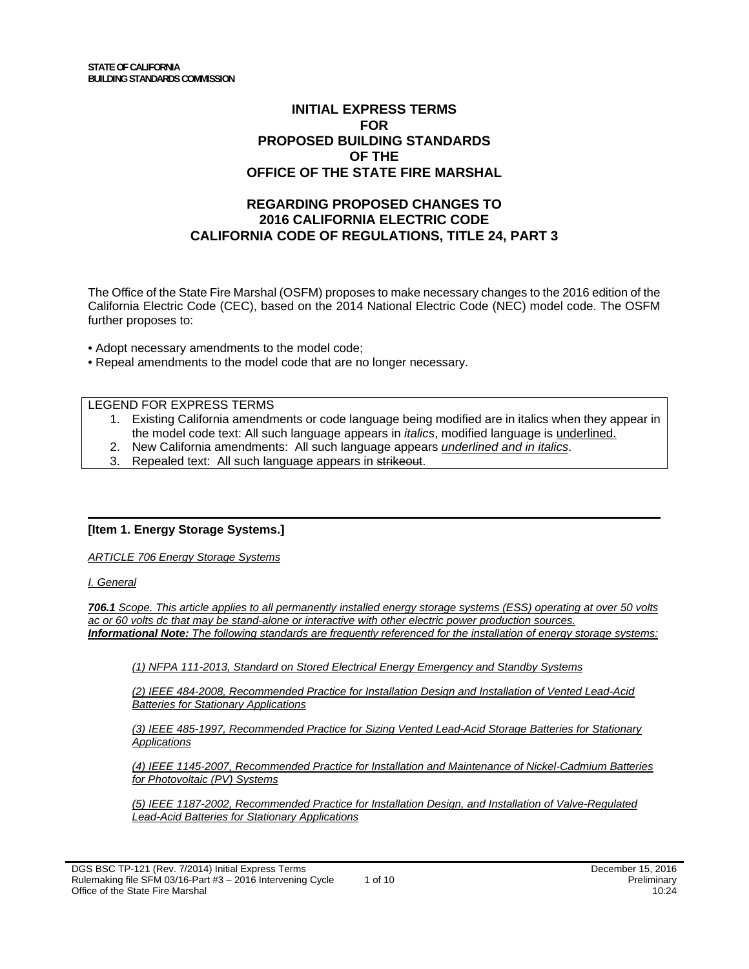# **INITIAL EXPRESS TERMS**  *FOR* **PROPOSED BUILDING STANDARDS OF THE OFFICE OF THE STATE FIRE MARSHAL**

# **REGARDING PROPOSED CHANGES TO 2016 CALIFORNIA ELECTRIC CODE CALIFORNIA CODE OF REGULATIONS, TITLE 24, PART 3**

The Office of the State Fire Marshal (OSFM) proposes to make necessary changes to the 2016 edition of the California Electric Code (CEC), based on the 2014 National Electric Code (NEC) model code. The OSFM further proposes to:

• Adopt necessary amendments to the model code;

• Repeal amendments to the model code that are no longer necessary.

## LEGEND FOR EXPRESS TERMS

- 1. Existing California amendments or code language being modified are in italics when they appear in the model code text: All such language appears in *italics*, modified language is underlined.
- 2. New California amendments: All such language appears *underlined and in italics*.
- 3. Repealed text: All such language appears in strikeout.

## **[Item 1. Energy Storage Systems.]**

*ARTICLE 706 Energy Storage Systems* 

## *I. General*

*706.1 Scope. This article applies to all permanently installed energy storage systems (ESS) operating at over 50 volts ac or 60 volts dc that may be stand-alone or interactive with other electric power production sources. Informational Note: The following standards are frequently referenced for the installation of energy storage systems:* 

*(1) NFPA 111-2013, Standard on Stored Electrical Energy Emergency and Standby Systems* 

*(2) IEEE 484-2008, Recommended Practice for Installation Design and Installation of Vented Lead-Acid Batteries for Stationary Applications* 

*(3) IEEE 485-1997, Recommended Practice for Sizing Vented Lead-Acid Storage Batteries for Stationary Applications* 

*(4) IEEE 1145-2007, Recommended Practice for Installation and Maintenance of Nickel-Cadmium Batteries for Photovoltaic (PV) Systems* 

*(5) IEEE 1187-2002, Recommended Practice for Installation Design, and Installation of Valve-Regulated Lead-Acid Batteries for Stationary Applications*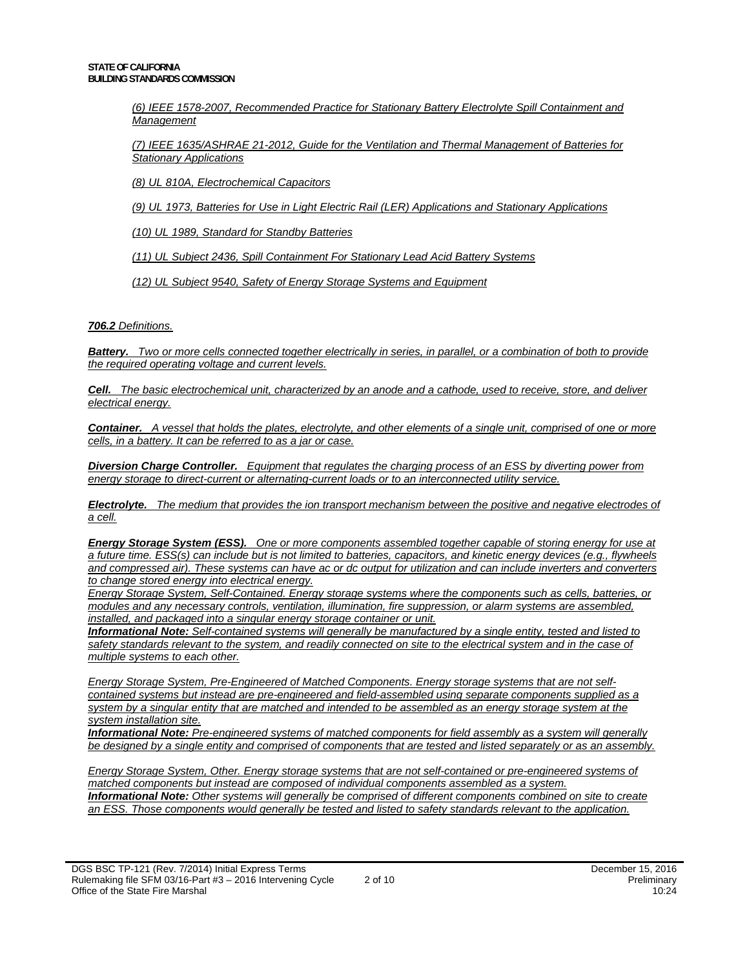*(6) IEEE 1578-2007, Recommended Practice for Stationary Battery Electrolyte Spill Containment and Management* 

*(7) IEEE 1635/ASHRAE 21-2012, Guide for the Ventilation and Thermal Management of Batteries for Stationary Applications* 

*(8) UL 810A, Electrochemical Capacitors* 

*(9) UL 1973, Batteries for Use in Light Electric Rail (LER) Applications and Stationary Applications* 

*(10) UL 1989, Standard for Standby Batteries* 

*(11) UL Subject 2436, Spill Containment For Stationary Lead Acid Battery Systems* 

*(12) UL Subject 9540, Safety of Energy Storage Systems and Equipment* 

*706.2 Definitions.* 

*Battery. Two or more cells connected together electrically in series, in parallel, or a combination of both to provide the required operating voltage and current levels.* 

*Cell. The basic electrochemical unit, characterized by an anode and a cathode, used to receive, store, and deliver electrical energy.* 

*Container. A vessel that holds the plates, electrolyte, and other elements of a single unit, comprised of one or more cells, in a battery. It can be referred to as a jar or case.* 

*Diversion Charge Controller. Equipment that regulates the charging process of an ESS by diverting power from energy storage to direct-current or alternating-current loads or to an interconnected utility service.* 

*Electrolyte. The medium that provides the ion transport mechanism between the positive and negative electrodes of a cell.* 

*Energy Storage System (ESS). One or more components assembled together capable of storing energy for use at a future time. ESS(s) can include but is not limited to batteries, capacitors, and kinetic energy devices (e.g., flywheels and compressed air). These systems can have ac or dc output for utilization and can include inverters and converters to change stored energy into electrical energy.* 

*Energy Storage System, Self-Contained. Energy storage systems where the components such as cells, batteries, or modules and any necessary controls, ventilation, illumination, fire suppression, or alarm systems are assembled, installed, and packaged into a singular energy storage container or unit.* 

*Informational Note: Self-contained systems will generally be manufactured by a single entity, tested and listed to*  safety standards relevant to the system, and readily connected on site to the electrical system and in the case of *multiple systems to each other.* 

*Energy Storage System, Pre-Engineered of Matched Components. Energy storage systems that are not selfcontained systems but instead are pre-engineered and field-assembled using separate components supplied as a system by a singular entity that are matched and intended to be assembled as an energy storage system at the system installation site.* 

*Informational Note: Pre-engineered systems of matched components for field assembly as a system will generally*  be designed by a single entity and comprised of components that are tested and listed separately or as an assembly.

*Energy Storage System, Other. Energy storage systems that are not self-contained or pre-engineered systems of matched components but instead are composed of individual components assembled as a system. Informational Note: Other systems will generally be comprised of different components combined on site to create an ESS. Those components would generally be tested and listed to safety standards relevant to the application.*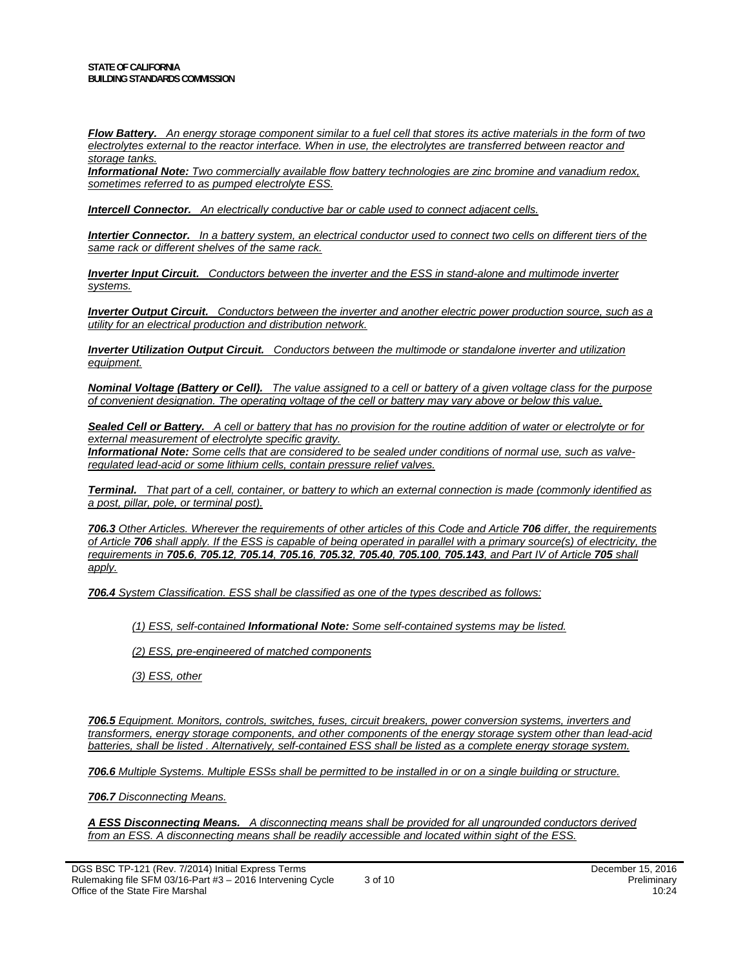*Flow Battery. An energy storage component similar to a fuel cell that stores its active materials in the form of two electrolytes external to the reactor interface. When in use, the electrolytes are transferred between reactor and storage tanks.* 

*Informational Note: Two commercially available flow battery technologies are zinc bromine and vanadium redox, sometimes referred to as pumped electrolyte ESS.* 

*Intercell Connector. An electrically conductive bar or cable used to connect adjacent cells.* 

*Intertier Connector. In a battery system, an electrical conductor used to connect two cells on different tiers of the same rack or different shelves of the same rack.* 

*Inverter Input Circuit. Conductors between the inverter and the ESS in stand-alone and multimode inverter systems.* 

*Inverter Output Circuit. Conductors between the inverter and another electric power production source, such as a utility for an electrical production and distribution network.* 

*Inverter Utilization Output Circuit. Conductors between the multimode or standalone inverter and utilization equipment.* 

*Nominal Voltage (Battery or Cell). The value assigned to a cell or battery of a given voltage class for the purpose of convenient designation. The operating voltage of the cell or battery may vary above or below this value.* 

*Sealed Cell or Battery. A cell or battery that has no provision for the routine addition of water or electrolyte or for external measurement of electrolyte specific gravity.* 

*Informational Note: Some cells that are considered to be sealed under conditions of normal use, such as valveregulated lead-acid or some lithium cells, contain pressure relief valves.* 

*Terminal. That part of a cell, container, or battery to which an external connection is made (commonly identified as a post, pillar, pole, or terminal post).* 

*706.3 Other Articles. Wherever the requirements of other articles of this Code and Article 706 differ, the requirements of Article 706 shall apply. If the ESS is capable of being operated in parallel with a primary source(s) of electricity, the*  requirements in 705.6, 705.12, 705.14, 705.16, 705.32, 705.40, 705.100, 705.143, and Part IV of Article 705 shall *apply.* 

*706.4 System Classification. ESS shall be classified as one of the types described as follows:* 

*(1) ESS, self-contained Informational Note: Some self-contained systems may be listed.* 

*(2) ESS, pre-engineered of matched components* 

*(3) ESS, other* 

*706.5 Equipment. Monitors, controls, switches, fuses, circuit breakers, power conversion systems, inverters and transformers, energy storage components, and other components of the energy storage system other than lead-acid*  batteries, shall be listed . Alternatively, self-contained ESS shall be listed as a complete energy storage system.

*706.6 Multiple Systems. Multiple ESSs shall be permitted to be installed in or on a single building or structure.* 

*706.7 Disconnecting Means.* 

*A ESS Disconnecting Means. A disconnecting means shall be provided for all ungrounded conductors derived from an ESS. A disconnecting means shall be readily accessible and located within sight of the ESS.*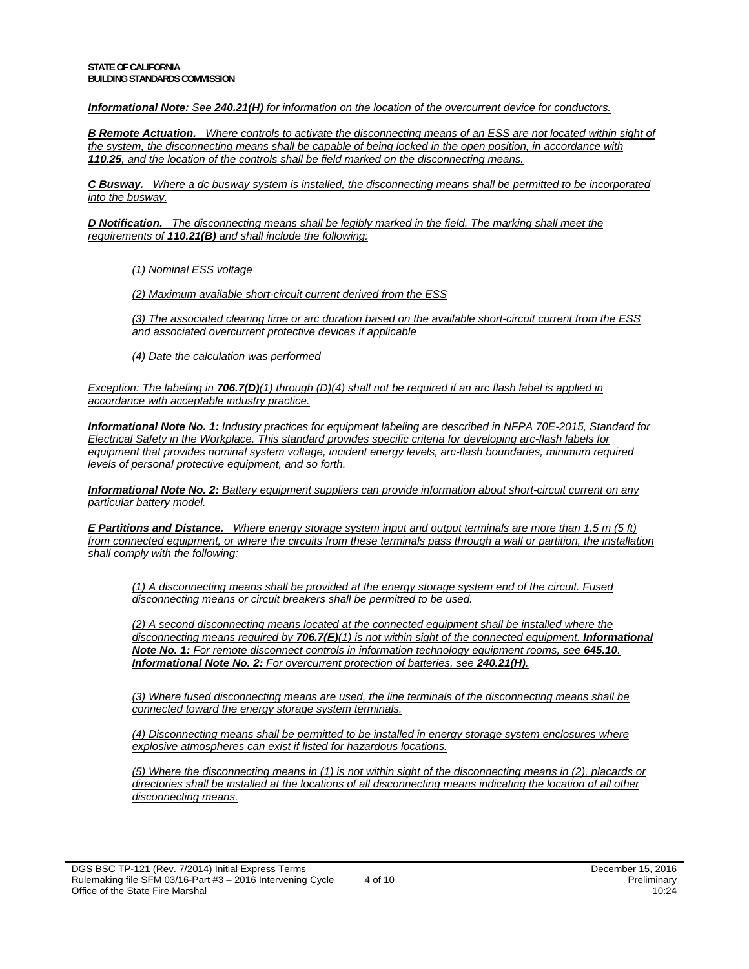*Informational Note: See 240.21(H) for information on the location of the overcurrent device for conductors.* 

*B Remote Actuation. Where controls to activate the disconnecting means of an ESS are not located within sight of the system, the disconnecting means shall be capable of being locked in the open position, in accordance with 110.25, and the location of the controls shall be field marked on the disconnecting means.* 

*C Busway. Where a dc busway system is installed, the disconnecting means shall be permitted to be incorporated into the busway.* 

*D Notification. The disconnecting means shall be legibly marked in the field. The marking shall meet the requirements of 110.21(B) and shall include the following:* 

*(1) Nominal ESS voltage* 

*(2) Maximum available short-circuit current derived from the ESS* 

*(3) The associated clearing time or arc duration based on the available short-circuit current from the ESS and associated overcurrent protective devices if applicable* 

*(4) Date the calculation was performed* 

*Exception: The labeling in 706.7(D)(1) through (D)(4) shall not be required if an arc flash label is applied in accordance with acceptable industry practice.* 

*Informational Note No. 1: Industry practices for equipment labeling are described in NFPA 70E-2015, Standard for Electrical Safety in the Workplace. This standard provides specific criteria for developing arc-flash labels for equipment that provides nominal system voltage, incident energy levels, arc-flash boundaries, minimum required levels of personal protective equipment, and so forth.* 

*Informational Note No. 2: Battery equipment suppliers can provide information about short-circuit current on any particular battery model.* 

*E Partitions and Distance. Where energy storage system input and output terminals are more than 1.5 m (5 ft) from connected equipment, or where the circuits from these terminals pass through a wall or partition, the installation shall comply with the following:* 

*(1) A disconnecting means shall be provided at the energy storage system end of the circuit. Fused disconnecting means or circuit breakers shall be permitted to be used.* 

*(2) A second disconnecting means located at the connected equipment shall be installed where the disconnecting means required by 706.7(E)(1) is not within sight of the connected equipment. Informational Note No. 1: For remote disconnect controls in information technology equipment rooms, see 645.10. Informational Note No. 2: For overcurrent protection of batteries, see 240.21(H).* 

*(3) Where fused disconnecting means are used, the line terminals of the disconnecting means shall be connected toward the energy storage system terminals.* 

*(4) Disconnecting means shall be permitted to be installed in energy storage system enclosures where explosive atmospheres can exist if listed for hazardous locations.* 

*(5) Where the disconnecting means in (1) is not within sight of the disconnecting means in (2), placards or directories shall be installed at the locations of all disconnecting means indicating the location of all other disconnecting means.*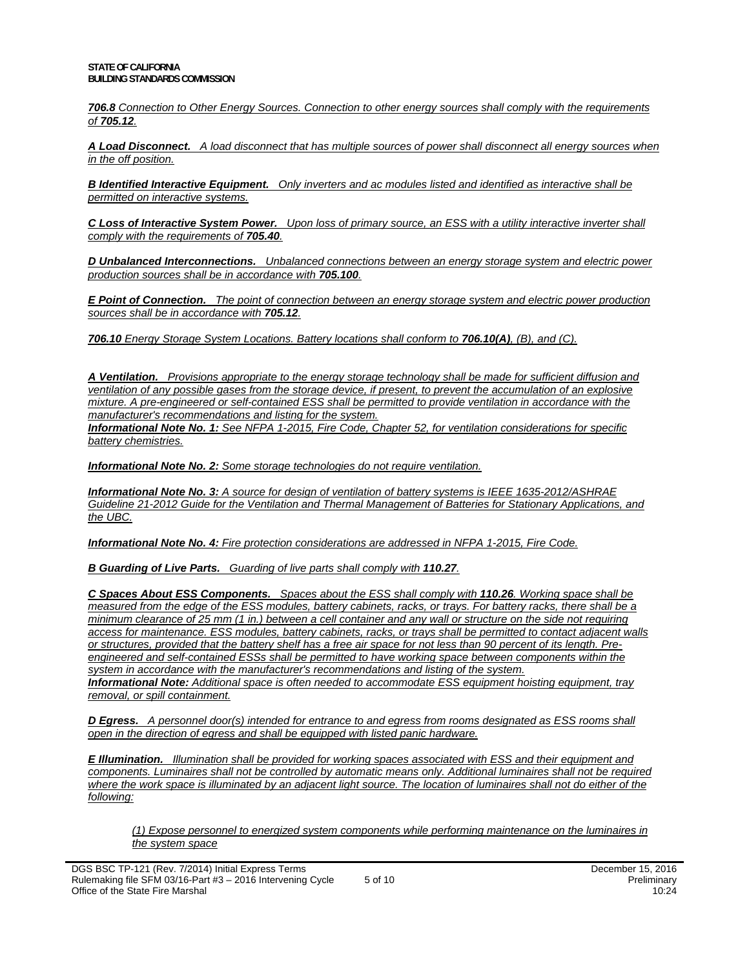*706.8 Connection to Other Energy Sources. Connection to other energy sources shall comply with the requirements of 705.12.* 

*A Load Disconnect. A load disconnect that has multiple sources of power shall disconnect all energy sources when in the off position.* 

*B Identified Interactive Equipment. Only inverters and ac modules listed and identified as interactive shall be permitted on interactive systems.* 

*C Loss of Interactive System Power. Upon loss of primary source, an ESS with a utility interactive inverter shall comply with the requirements of 705.40.* 

*D Unbalanced Interconnections. Unbalanced connections between an energy storage system and electric power production sources shall be in accordance with 705.100.* 

*E Point of Connection. The point of connection between an energy storage system and electric power production sources shall be in accordance with 705.12.* 

*706.10 Energy Storage System Locations. Battery locations shall conform to 706.10(A), (B), and (C).* 

*A Ventilation. Provisions appropriate to the energy storage technology shall be made for sufficient diffusion and ventilation of any possible gases from the storage device, if present, to prevent the accumulation of an explosive mixture. A pre-engineered or self-contained ESS shall be permitted to provide ventilation in accordance with the manufacturer's recommendations and listing for the system.* 

*Informational Note No. 1: See NFPA 1-2015, Fire Code, Chapter 52, for ventilation considerations for specific battery chemistries.* 

*Informational Note No. 2: Some storage technologies do not require ventilation.* 

*Informational Note No. 3: A source for design of ventilation of battery systems is IEEE 1635-2012/ASHRAE Guideline 21-2012 Guide for the Ventilation and Thermal Management of Batteries for Stationary Applications, and the UBC.* 

*Informational Note No. 4: Fire protection considerations are addressed in NFPA 1-2015, Fire Code.* 

*B Guarding of Live Parts. Guarding of live parts shall comply with 110.27.* 

*C Spaces About ESS Components. Spaces about the ESS shall comply with 110.26. Working space shall be measured from the edge of the ESS modules, battery cabinets, racks, or trays. For battery racks, there shall be a minimum clearance of 25 mm (1 in.) between a cell container and any wall or structure on the side not requiring access for maintenance. ESS modules, battery cabinets, racks, or trays shall be permitted to contact adjacent walls or structures, provided that the battery shelf has a free air space for not less than 90 percent of its length. Preengineered and self-contained ESSs shall be permitted to have working space between components within the system in accordance with the manufacturer's recommendations and listing of the system. Informational Note: Additional space is often needed to accommodate ESS equipment hoisting equipment, tray removal, or spill containment.* 

*D Egress. A personnel door(s) intended for entrance to and egress from rooms designated as ESS rooms shall open in the direction of egress and shall be equipped with listed panic hardware.* 

*E Illumination. Illumination shall be provided for working spaces associated with ESS and their equipment and components. Luminaires shall not be controlled by automatic means only. Additional luminaires shall not be required where the work space is illuminated by an adjacent light source. The location of luminaires shall not do either of the following:* 

*(1) Expose personnel to energized system components while performing maintenance on the luminaires in the system space*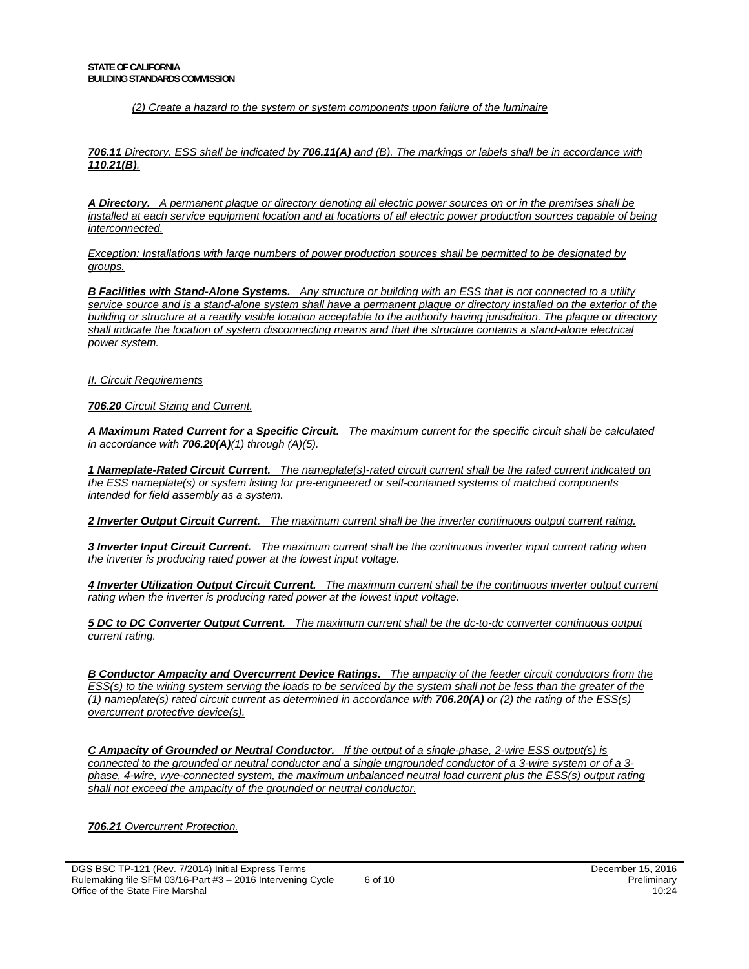#### *(2) Create a hazard to the system or system components upon failure of the luminaire*

#### *706.11 Directory. ESS shall be indicated by 706.11(A) and (B). The markings or labels shall be in accordance with 110.21(B).*

*A Directory. A permanent plaque or directory denoting all electric power sources on or in the premises shall be installed at each service equipment location and at locations of all electric power production sources capable of being interconnected.* 

*Exception: Installations with large numbers of power production sources shall be permitted to be designated by groups.* 

*B Facilities with Stand-Alone Systems. Any structure or building with an ESS that is not connected to a utility service source and is a stand-alone system shall have a permanent plaque or directory installed on the exterior of the building or structure at a readily visible location acceptable to the authority having jurisdiction. The plaque or directory shall indicate the location of system disconnecting means and that the structure contains a stand-alone electrical power system.* 

#### *II. Circuit Requirements*

#### *706.20 Circuit Sizing and Current.*

*A Maximum Rated Current for a Specific Circuit. The maximum current for the specific circuit shall be calculated in accordance with 706.20(A)(1) through (A)(5).* 

*1 Nameplate-Rated Circuit Current. The nameplate(s)-rated circuit current shall be the rated current indicated on the ESS nameplate(s) or system listing for pre-engineered or self-contained systems of matched components intended for field assembly as a system.* 

*2 Inverter Output Circuit Current. The maximum current shall be the inverter continuous output current rating.* 

*3 Inverter Input Circuit Current. The maximum current shall be the continuous inverter input current rating when the inverter is producing rated power at the lowest input voltage.* 

*4 Inverter Utilization Output Circuit Current. The maximum current shall be the continuous inverter output current rating when the inverter is producing rated power at the lowest input voltage.* 

*5 DC to DC Converter Output Current. The maximum current shall be the dc-to-dc converter continuous output current rating.* 

*B Conductor Ampacity and Overcurrent Device Ratings. The ampacity of the feeder circuit conductors from the ESS(s) to the wiring system serving the loads to be serviced by the system shall not be less than the greater of the (1) nameplate(s) rated circuit current as determined in accordance with 706.20(A) or (2) the rating of the ESS(s) overcurrent protective device(s).* 

*C Ampacity of Grounded or Neutral Conductor. If the output of a single-phase, 2-wire ESS output(s) is connected to the grounded or neutral conductor and a single ungrounded conductor of a 3-wire system or of a 3 phase, 4-wire, wye-connected system, the maximum unbalanced neutral load current plus the ESS(s) output rating shall not exceed the ampacity of the grounded or neutral conductor.* 

*706.21 Overcurrent Protection.*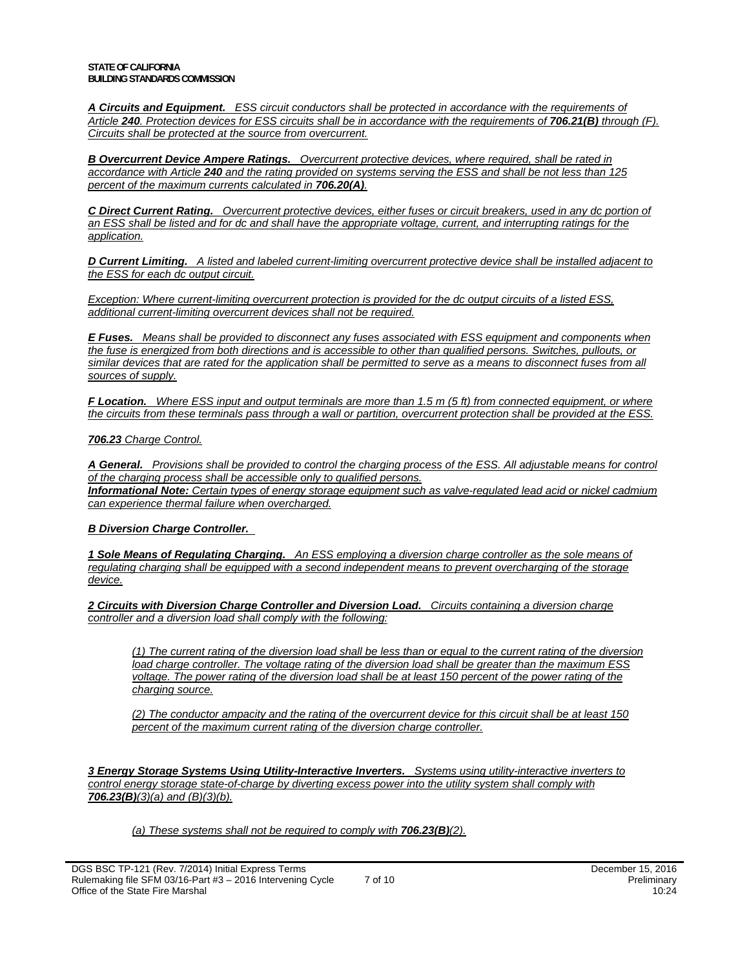*A Circuits and Equipment. ESS circuit conductors shall be protected in accordance with the requirements of Article 240. Protection devices for ESS circuits shall be in accordance with the requirements of 706.21(B) through (F). Circuits shall be protected at the source from overcurrent.* 

*B Overcurrent Device Ampere Ratings. Overcurrent protective devices, where required, shall be rated in accordance with Article 240 and the rating provided on systems serving the ESS and shall be not less than 125 percent of the maximum currents calculated in 706.20(A).* 

*C Direct Current Rating. Overcurrent protective devices, either fuses or circuit breakers, used in any dc portion of an ESS shall be listed and for dc and shall have the appropriate voltage, current, and interrupting ratings for the application.* 

*D Current Limiting. A listed and labeled current-limiting overcurrent protective device shall be installed adjacent to the ESS for each dc output circuit.* 

*Exception: Where current-limiting overcurrent protection is provided for the dc output circuits of a listed ESS, additional current-limiting overcurrent devices shall not be required.* 

*E Fuses. Means shall be provided to disconnect any fuses associated with ESS equipment and components when the fuse is energized from both directions and is accessible to other than qualified persons. Switches, pullouts, or similar devices that are rated for the application shall be permitted to serve as a means to disconnect fuses from all sources of supply.* 

*F Location. Where ESS input and output terminals are more than 1.5 m (5 ft) from connected equipment, or where the circuits from these terminals pass through a wall or partition, overcurrent protection shall be provided at the ESS.* 

*706.23 Charge Control.* 

*A General. Provisions shall be provided to control the charging process of the ESS. All adjustable means for control of the charging process shall be accessible only to qualified persons. Informational Note: Certain types of energy storage equipment such as valve-regulated lead acid or nickel cadmium can experience thermal failure when overcharged.* 

*B Diversion Charge Controller.* 

*1 Sole Means of Regulating Charging. An ESS employing a diversion charge controller as the sole means of regulating charging shall be equipped with a second independent means to prevent overcharging of the storage device.* 

*2 Circuits with Diversion Charge Controller and Diversion Load. Circuits containing a diversion charge controller and a diversion load shall comply with the following:* 

*(1) The current rating of the diversion load shall be less than or equal to the current rating of the diversion load charge controller. The voltage rating of the diversion load shall be greater than the maximum ESS voltage. The power rating of the diversion load shall be at least 150 percent of the power rating of the charging source.* 

*(2) The conductor ampacity and the rating of the overcurrent device for this circuit shall be at least 150 percent of the maximum current rating of the diversion charge controller.* 

*3 Energy Storage Systems Using Utility-Interactive Inverters. Systems using utility-interactive inverters to control energy storage state-of-charge by diverting excess power into the utility system shall comply with 706.23(B)(3)(a) and (B)(3)(b).* 

*(a) These systems shall not be required to comply with 706.23(B)(2).*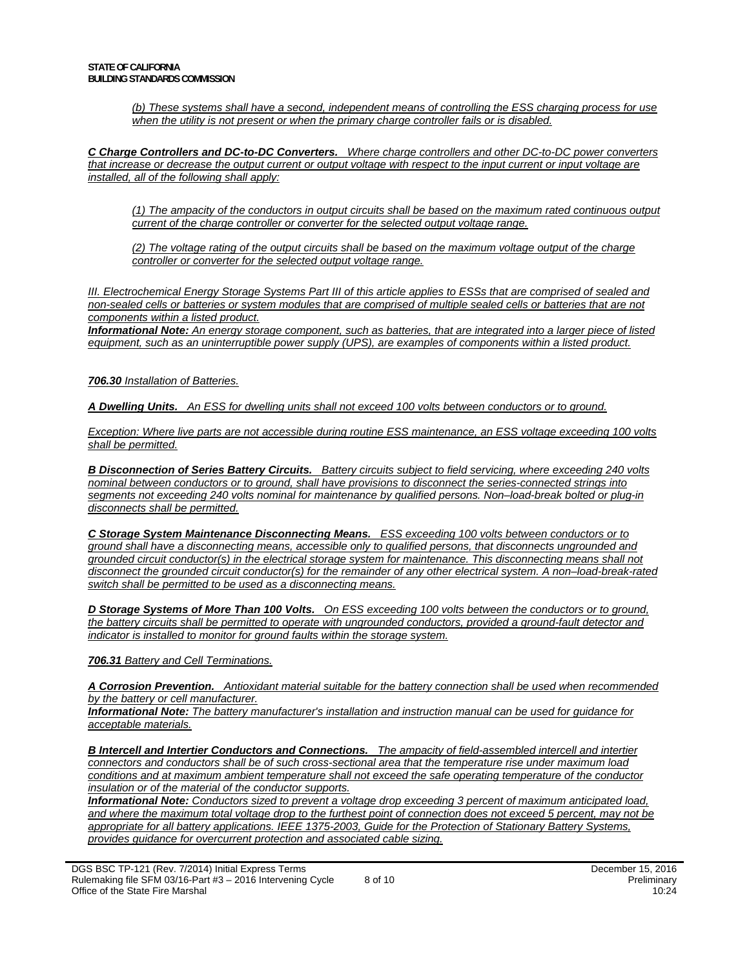*(b) These systems shall have a second, independent means of controlling the ESS charging process for use when the utility is not present or when the primary charge controller fails or is disabled.* 

*C Charge Controllers and DC-to-DC Converters. Where charge controllers and other DC-to-DC power converters that increase or decrease the output current or output voltage with respect to the input current or input voltage are installed, all of the following shall apply:* 

*(1) The ampacity of the conductors in output circuits shall be based on the maximum rated continuous output current of the charge controller or converter for the selected output voltage range.* 

*(2) The voltage rating of the output circuits shall be based on the maximum voltage output of the charge controller or converter for the selected output voltage range.* 

*III. Electrochemical Energy Storage Systems Part III of this article applies to ESSs that are comprised of sealed and non-sealed cells or batteries or system modules that are comprised of multiple sealed cells or batteries that are not components within a listed product.* 

*Informational Note: An energy storage component, such as batteries, that are integrated into a larger piece of listed equipment, such as an uninterruptible power supply (UPS), are examples of components within a listed product.* 

### *706.30 Installation of Batteries.*

*A Dwelling Units. An ESS for dwelling units shall not exceed 100 volts between conductors or to ground.* 

*Exception: Where live parts are not accessible during routine ESS maintenance, an ESS voltage exceeding 100 volts shall be permitted.* 

*B Disconnection of Series Battery Circuits. Battery circuits subject to field servicing, where exceeding 240 volts nominal between conductors or to ground, shall have provisions to disconnect the series-connected strings into segments not exceeding 240 volts nominal for maintenance by qualified persons. Non–load-break bolted or plug-in disconnects shall be permitted.* 

*C Storage System Maintenance Disconnecting Means. ESS exceeding 100 volts between conductors or to ground shall have a disconnecting means, accessible only to qualified persons, that disconnects ungrounded and grounded circuit conductor(s) in the electrical storage system for maintenance. This disconnecting means shall not disconnect the grounded circuit conductor(s) for the remainder of any other electrical system. A non–load-break-rated switch shall be permitted to be used as a disconnecting means.* 

*D Storage Systems of More Than 100 Volts. On ESS exceeding 100 volts between the conductors or to ground,*  the battery circuits shall be permitted to operate with ungrounded conductors, provided a ground-fault detector and *indicator is installed to monitor for ground faults within the storage system.* 

*706.31 Battery and Cell Terminations.* 

*A Corrosion Prevention. Antioxidant material suitable for the battery connection shall be used when recommended by the battery or cell manufacturer.* 

*Informational Note: The battery manufacturer's installation and instruction manual can be used for guidance for acceptable materials.* 

*B Intercell and Intertier Conductors and Connections. The ampacity of field-assembled intercell and intertier connectors and conductors shall be of such cross-sectional area that the temperature rise under maximum load conditions and at maximum ambient temperature shall not exceed the safe operating temperature of the conductor insulation or of the material of the conductor supports.* 

*Informational Note: Conductors sized to prevent a voltage drop exceeding 3 percent of maximum anticipated load, and where the maximum total voltage drop to the furthest point of connection does not exceed 5 percent, may not be appropriate for all battery applications. IEEE 1375-2003, Guide for the Protection of Stationary Battery Systems, provides guidance for overcurrent protection and associated cable sizing.*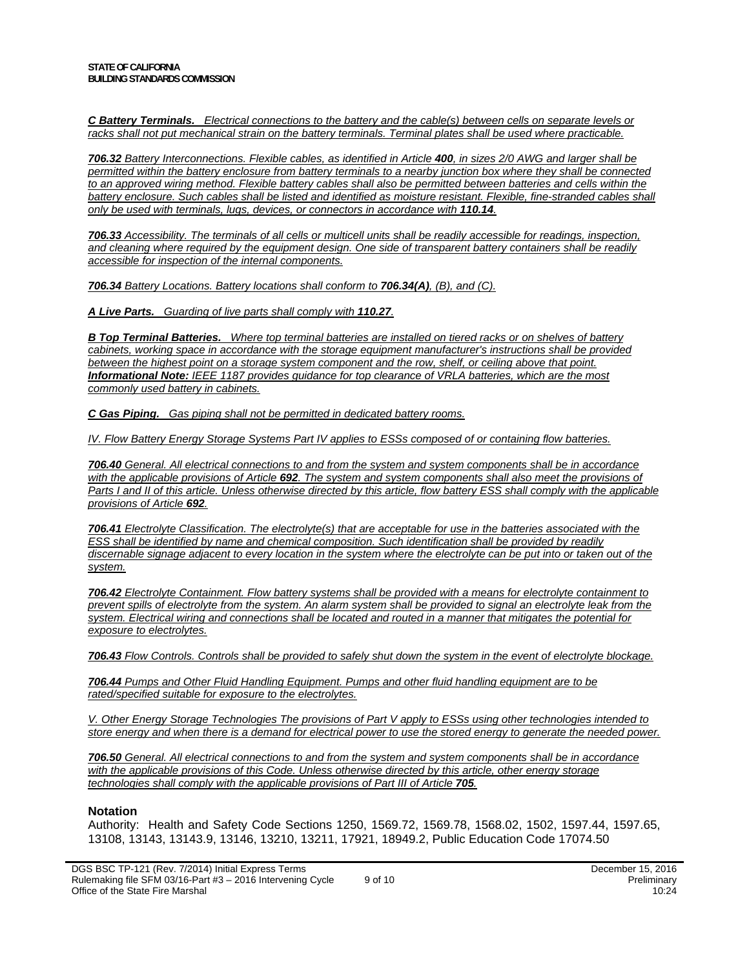*C Battery Terminals. Electrical connections to the battery and the cable(s) between cells on separate levels or*  racks shall not put mechanical strain on the battery terminals. Terminal plates shall be used where practicable.

*706.32 Battery Interconnections. Flexible cables, as identified in Article 400, in sizes 2/0 AWG and larger shall be permitted within the battery enclosure from battery terminals to a nearby junction box where they shall be connected to an approved wiring method. Flexible battery cables shall also be permitted between batteries and cells within the battery enclosure. Such cables shall be listed and identified as moisture resistant. Flexible, fine-stranded cables shall only be used with terminals, lugs, devices, or connectors in accordance with 110.14.* 

*706.33 Accessibility. The terminals of all cells or multicell units shall be readily accessible for readings, inspection, and cleaning where required by the equipment design. One side of transparent battery containers shall be readily accessible for inspection of the internal components.* 

*706.34 Battery Locations. Battery locations shall conform to 706.34(A), (B), and (C).* 

*A Live Parts. Guarding of live parts shall comply with 110.27.* 

*B Top Terminal Batteries. Where top terminal batteries are installed on tiered racks or on shelves of battery cabinets, working space in accordance with the storage equipment manufacturer's instructions shall be provided between the highest point on a storage system component and the row, shelf, or ceiling above that point. Informational Note: IEEE 1187 provides guidance for top clearance of VRLA batteries, which are the most commonly used battery in cabinets.* 

*C Gas Piping. Gas piping shall not be permitted in dedicated battery rooms.* 

*IV. Flow Battery Energy Storage Systems Part IV applies to ESSs composed of or containing flow batteries.* 

*706.40 General. All electrical connections to and from the system and system components shall be in accordance with the applicable provisions of Article 692. The system and system components shall also meet the provisions of Parts I and II of this article. Unless otherwise directed by this article, flow battery ESS shall comply with the applicable provisions of Article 692.* 

*706.41 Electrolyte Classification. The electrolyte(s) that are acceptable for use in the batteries associated with the ESS shall be identified by name and chemical composition. Such identification shall be provided by readily discernable signage adjacent to every location in the system where the electrolyte can be put into or taken out of the system.* 

*706.42 Electrolyte Containment. Flow battery systems shall be provided with a means for electrolyte containment to prevent spills of electrolyte from the system. An alarm system shall be provided to signal an electrolyte leak from the system. Electrical wiring and connections shall be located and routed in a manner that mitigates the potential for exposure to electrolytes.* 

*706.43 Flow Controls. Controls shall be provided to safely shut down the system in the event of electrolyte blockage.* 

*706.44 Pumps and Other Fluid Handling Equipment. Pumps and other fluid handling equipment are to be rated/specified suitable for exposure to the electrolytes.* 

*V. Other Energy Storage Technologies The provisions of Part V apply to ESSs using other technologies intended to store energy and when there is a demand for electrical power to use the stored energy to generate the needed power.* 

*706.50 General. All electrical connections to and from the system and system components shall be in accordance*  with the applicable provisions of this Code. Unless otherwise directed by this article, other energy storage *technologies shall comply with the applicable provisions of Part III of Article 705.* 

## **Notation**

Authority: Health and Safety Code Sections 1250, 1569.72, 1569.78, 1568.02, 1502, 1597.44, 1597.65, 13108, 13143, 13143.9, 13146, 13210, 13211, 17921, 18949.2, Public Education Code 17074.50